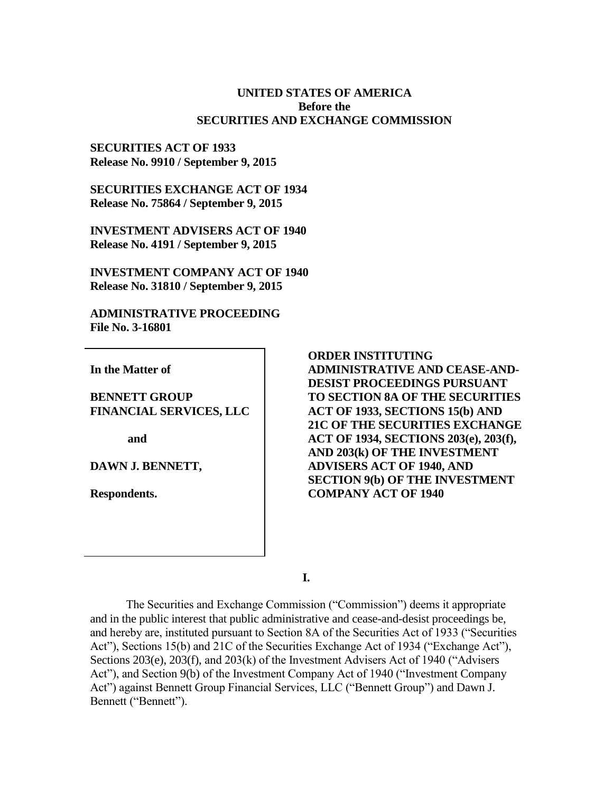#### **UNITED STATES OF AMERICA Before the SECURITIES AND EXCHANGE COMMISSION**

#### **SECURITIES ACT OF 1933 Release No. 9910 / September 9, 2015**

**SECURITIES EXCHANGE ACT OF 1934 Release No. 75864 / September 9, 2015**

**INVESTMENT ADVISERS ACT OF 1940 Release No. 4191 / September 9, 2015**

**INVESTMENT COMPANY ACT OF 1940 Release No. 31810 / September 9, 2015**

**ADMINISTRATIVE PROCEEDING File No. 3-16801**

**In the Matter of**

**BENNETT GROUP FINANCIAL SERVICES, LLC**

**and**

**DAWN J. BENNETT,**

**Respondents.**

# **ORDER INSTITUTING**

**ADMINISTRATIVE AND CEASE-AND-DESIST PROCEEDINGS PURSUANT TO SECTION 8A OF THE SECURITIES ACT OF 1933, SECTIONS 15(b) AND 21C OF THE SECURITIES EXCHANGE ACT OF 1934, SECTIONS 203(e), 203(f), AND 203(k) OF THE INVESTMENT ADVISERS ACT OF 1940, AND SECTION 9(b) OF THE INVESTMENT COMPANY ACT OF 1940**

**I.**

The Securities and Exchange Commission ("Commission") deems it appropriate and in the public interest that public administrative and cease-and-desist proceedings be, and hereby are, instituted pursuant to Section 8A of the Securities Act of 1933 ("Securities Act"), Sections 15(b) and 21C of the Securities Exchange Act of 1934 ("Exchange Act"), Sections 203(e), 203(f), and 203(k) of the Investment Advisers Act of 1940 ("Advisers Act"), and Section 9(b) of the Investment Company Act of 1940 ("Investment Company Act") against Bennett Group Financial Services, LLC ("Bennett Group") and Dawn J. Bennett ("Bennett").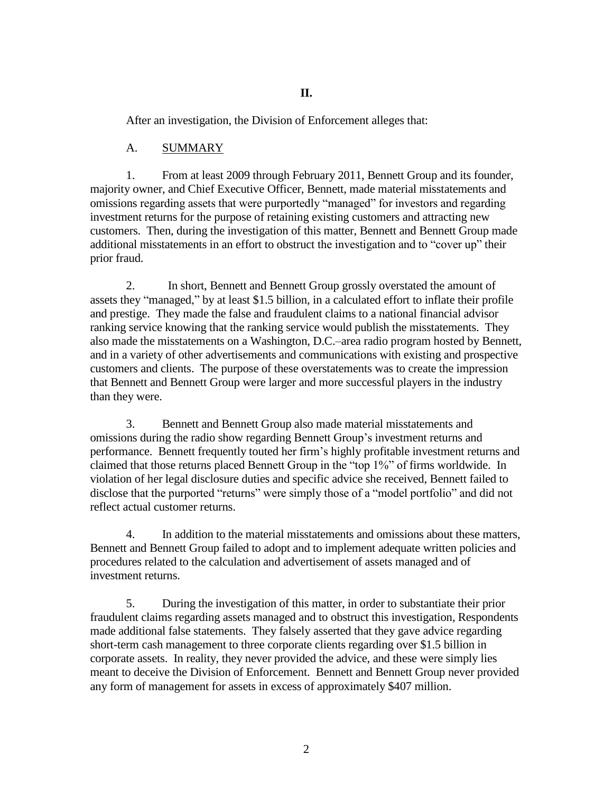After an investigation, the Division of Enforcement alleges that:

### A. SUMMARY

1. From at least 2009 through February 2011, Bennett Group and its founder, majority owner, and Chief Executive Officer, Bennett, made material misstatements and omissions regarding assets that were purportedly "managed" for investors and regarding investment returns for the purpose of retaining existing customers and attracting new customers. Then, during the investigation of this matter, Bennett and Bennett Group made additional misstatements in an effort to obstruct the investigation and to "cover up" their prior fraud.

2. In short, Bennett and Bennett Group grossly overstated the amount of assets they "managed," by at least \$1.5 billion, in a calculated effort to inflate their profile and prestige. They made the false and fraudulent claims to a national financial advisor ranking service knowing that the ranking service would publish the misstatements. They also made the misstatements on a Washington, D.C.–area radio program hosted by Bennett, and in a variety of other advertisements and communications with existing and prospective customers and clients. The purpose of these overstatements was to create the impression that Bennett and Bennett Group were larger and more successful players in the industry than they were.

3. Bennett and Bennett Group also made material misstatements and omissions during the radio show regarding Bennett Group's investment returns and performance. Bennett frequently touted her firm's highly profitable investment returns and claimed that those returns placed Bennett Group in the "top 1%" of firms worldwide. In violation of her legal disclosure duties and specific advice she received, Bennett failed to disclose that the purported "returns" were simply those of a "model portfolio" and did not reflect actual customer returns.

4. In addition to the material misstatements and omissions about these matters, Bennett and Bennett Group failed to adopt and to implement adequate written policies and procedures related to the calculation and advertisement of assets managed and of investment returns.

5. During the investigation of this matter, in order to substantiate their prior fraudulent claims regarding assets managed and to obstruct this investigation, Respondents made additional false statements. They falsely asserted that they gave advice regarding short-term cash management to three corporate clients regarding over \$1.5 billion in corporate assets. In reality, they never provided the advice, and these were simply lies meant to deceive the Division of Enforcement. Bennett and Bennett Group never provided any form of management for assets in excess of approximately \$407 million.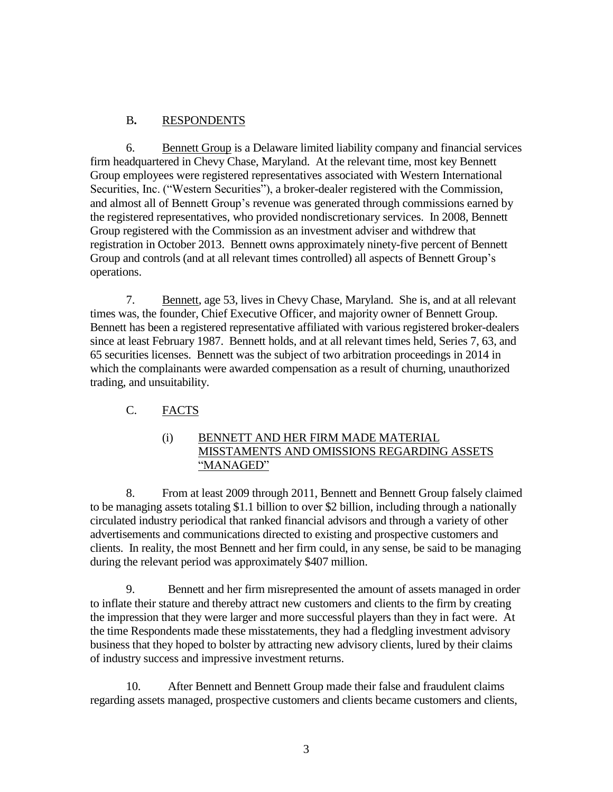### B**.** RESPONDENTS

6. Bennett Group is a Delaware limited liability company and financial services firm headquartered in Chevy Chase, Maryland. At the relevant time, most key Bennett Group employees were registered representatives associated with Western International Securities, Inc. ("Western Securities"), a broker-dealer registered with the Commission, and almost all of Bennett Group's revenue was generated through commissions earned by the registered representatives, who provided nondiscretionary services. In 2008, Bennett Group registered with the Commission as an investment adviser and withdrew that registration in October 2013. Bennett owns approximately ninety-five percent of Bennett Group and controls (and at all relevant times controlled) all aspects of Bennett Group's operations.

7. Bennett, age 53, lives in Chevy Chase, Maryland. She is, and at all relevant times was, the founder, Chief Executive Officer, and majority owner of Bennett Group. Bennett has been a registered representative affiliated with various registered broker-dealers since at least February 1987. Bennett holds, and at all relevant times held, Series 7, 63, and 65 securities licenses. Bennett was the subject of two arbitration proceedings in 2014 in which the complainants were awarded compensation as a result of churning, unauthorized trading, and unsuitability.

### C. FACTS

### (i) BENNETT AND HER FIRM MADE MATERIAL MISSTAMENTS AND OMISSIONS REGARDING ASSETS "MANAGED"

8. From at least 2009 through 2011, Bennett and Bennett Group falsely claimed to be managing assets totaling \$1.1 billion to over \$2 billion, including through a nationally circulated industry periodical that ranked financial advisors and through a variety of other advertisements and communications directed to existing and prospective customers and clients. In reality, the most Bennett and her firm could, in any sense, be said to be managing during the relevant period was approximately \$407 million.

9. Bennett and her firm misrepresented the amount of assets managed in order to inflate their stature and thereby attract new customers and clients to the firm by creating the impression that they were larger and more successful players than they in fact were. At the time Respondents made these misstatements, they had a fledgling investment advisory business that they hoped to bolster by attracting new advisory clients, lured by their claims of industry success and impressive investment returns.

10. After Bennett and Bennett Group made their false and fraudulent claims regarding assets managed, prospective customers and clients became customers and clients,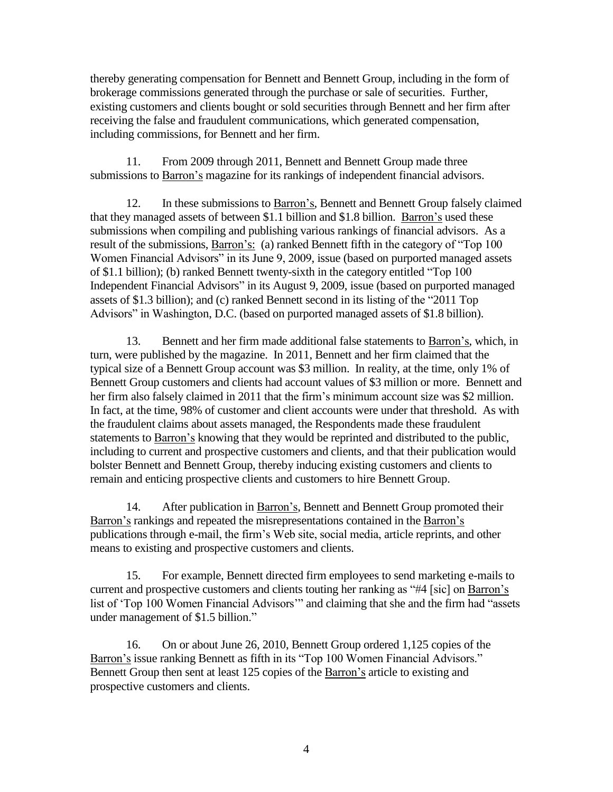thereby generating compensation for Bennett and Bennett Group, including in the form of brokerage commissions generated through the purchase or sale of securities. Further, existing customers and clients bought or sold securities through Bennett and her firm after receiving the false and fraudulent communications, which generated compensation, including commissions, for Bennett and her firm.

11. From 2009 through 2011, Bennett and Bennett Group made three submissions to Barron's magazine for its rankings of independent financial advisors.

12. In these submissions to Barron's, Bennett and Bennett Group falsely claimed that they managed assets of between \$1.1 billion and \$1.8 billion. Barron's used these submissions when compiling and publishing various rankings of financial advisors. As a result of the submissions, Barron's: (a) ranked Bennett fifth in the category of "Top 100 Women Financial Advisors" in its June 9, 2009, issue (based on purported managed assets of \$1.1 billion); (b) ranked Bennett twenty-sixth in the category entitled "Top 100 Independent Financial Advisors" in its August 9, 2009, issue (based on purported managed assets of \$1.3 billion); and (c) ranked Bennett second in its listing of the "2011 Top Advisors" in Washington, D.C. (based on purported managed assets of \$1.8 billion).

13. Bennett and her firm made additional false statements to **Barron's**, which, in turn, were published by the magazine. In 2011, Bennett and her firm claimed that the typical size of a Bennett Group account was \$3 million. In reality, at the time, only 1% of Bennett Group customers and clients had account values of \$3 million or more. Bennett and her firm also falsely claimed in 2011 that the firm's minimum account size was \$2 million. In fact, at the time, 98% of customer and client accounts were under that threshold. As with the fraudulent claims about assets managed, the Respondents made these fraudulent statements to Barron's knowing that they would be reprinted and distributed to the public, including to current and prospective customers and clients, and that their publication would bolster Bennett and Bennett Group, thereby inducing existing customers and clients to remain and enticing prospective clients and customers to hire Bennett Group.

14. After publication in Barron's, Bennett and Bennett Group promoted their Barron's rankings and repeated the misrepresentations contained in the Barron's publications through e-mail, the firm's Web site, social media, article reprints, and other means to existing and prospective customers and clients.

15. For example, Bennett directed firm employees to send marketing e-mails to current and prospective customers and clients touting her ranking as "#4 [sic] on Barron's list of 'Top 100 Women Financial Advisors'" and claiming that she and the firm had "assets under management of \$1.5 billion."

16. On or about June 26, 2010, Bennett Group ordered 1,125 copies of the Barron's issue ranking Bennett as fifth in its "Top 100 Women Financial Advisors." Bennett Group then sent at least 125 copies of the Barron's article to existing and prospective customers and clients.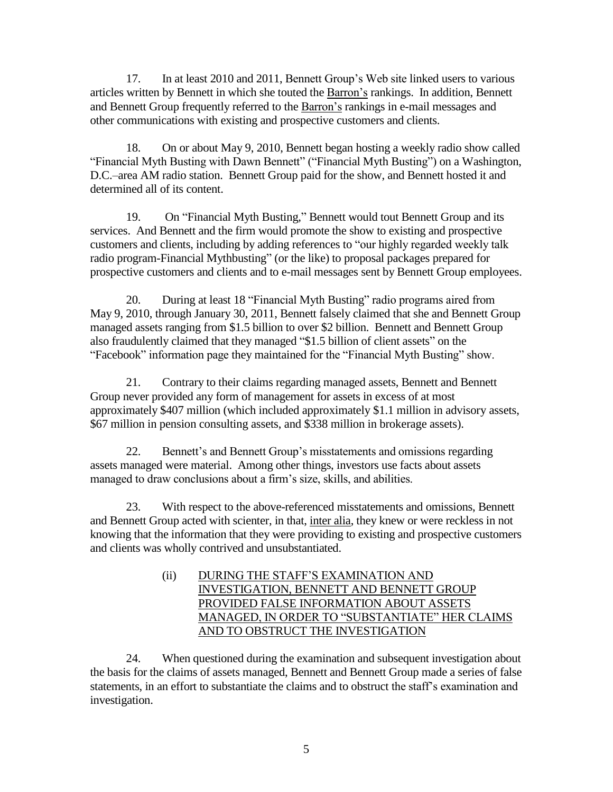17. In at least 2010 and 2011, Bennett Group's Web site linked users to various articles written by Bennett in which she touted the Barron's rankings. In addition, Bennett and Bennett Group frequently referred to the Barron's rankings in e-mail messages and other communications with existing and prospective customers and clients.

18. On or about May 9, 2010, Bennett began hosting a weekly radio show called "Financial Myth Busting with Dawn Bennett" ("Financial Myth Busting") on a Washington, D.C.–area AM radio station. Bennett Group paid for the show, and Bennett hosted it and determined all of its content.

19. On "Financial Myth Busting," Bennett would tout Bennett Group and its services. And Bennett and the firm would promote the show to existing and prospective customers and clients, including by adding references to "our highly regarded weekly talk radio program-Financial Mythbusting" (or the like) to proposal packages prepared for prospective customers and clients and to e-mail messages sent by Bennett Group employees.

20. During at least 18 "Financial Myth Busting" radio programs aired from May 9, 2010, through January 30, 2011, Bennett falsely claimed that she and Bennett Group managed assets ranging from \$1.5 billion to over \$2 billion. Bennett and Bennett Group also fraudulently claimed that they managed "\$1.5 billion of client assets" on the "Facebook" information page they maintained for the "Financial Myth Busting" show.

21. Contrary to their claims regarding managed assets, Bennett and Bennett Group never provided any form of management for assets in excess of at most approximately \$407 million (which included approximately \$1.1 million in advisory assets, \$67 million in pension consulting assets, and \$338 million in brokerage assets).

22. Bennett's and Bennett Group's misstatements and omissions regarding assets managed were material. Among other things, investors use facts about assets managed to draw conclusions about a firm's size, skills, and abilities.

23. With respect to the above-referenced misstatements and omissions, Bennett and Bennett Group acted with scienter, in that, inter alia, they knew or were reckless in not knowing that the information that they were providing to existing and prospective customers and clients was wholly contrived and unsubstantiated.

### (ii) DURING THE STAFF'S EXAMINATION AND INVESTIGATION, BENNETT AND BENNETT GROUP PROVIDED FALSE INFORMATION ABOUT ASSETS MANAGED, IN ORDER TO "SUBSTANTIATE" HER CLAIMS AND TO OBSTRUCT THE INVESTIGATION

24. When questioned during the examination and subsequent investigation about the basis for the claims of assets managed, Bennett and Bennett Group made a series of false statements, in an effort to substantiate the claims and to obstruct the staff's examination and investigation.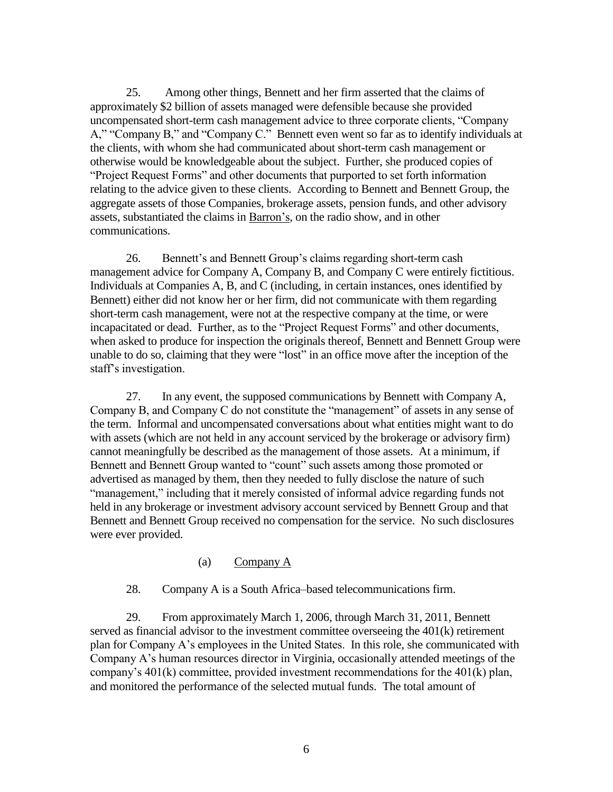25. Among other things, Bennett and her firm asserted that the claims of approximately \$2 billion of assets managed were defensible because she provided uncompensated short-term cash management advice to three corporate clients, "Company A," "Company B," and "Company C." Bennett even went so far as to identify individuals at the clients, with whom she had communicated about short-term cash management or otherwise would be knowledgeable about the subject. Further, she produced copies of "Project Request Forms" and other documents that purported to set forth information relating to the advice given to these clients. According to Bennett and Bennett Group, the aggregate assets of those Companies, brokerage assets, pension funds, and other advisory assets, substantiated the claims in Barron's, on the radio show, and in other communications.

26. Bennett's and Bennett Group's claims regarding short-term cash management advice for Company A, Company B, and Company C were entirely fictitious. Individuals at Companies A, B, and C (including, in certain instances, ones identified by Bennett) either did not know her or her firm, did not communicate with them regarding short-term cash management, were not at the respective company at the time, or were incapacitated or dead. Further, as to the "Project Request Forms" and other documents, when asked to produce for inspection the originals thereof, Bennett and Bennett Group were unable to do so, claiming that they were "lost" in an office move after the inception of the staff's investigation.

27. In any event, the supposed communications by Bennett with Company A, Company B, and Company C do not constitute the "management" of assets in any sense of the term. Informal and uncompensated conversations about what entities might want to do with assets (which are not held in any account serviced by the brokerage or advisory firm) cannot meaningfully be described as the management of those assets. At a minimum, if Bennett and Bennett Group wanted to "count" such assets among those promoted or advertised as managed by them, then they needed to fully disclose the nature of such "management," including that it merely consisted of informal advice regarding funds not held in any brokerage or investment advisory account serviced by Bennett Group and that Bennett and Bennett Group received no compensation for the service. No such disclosures were ever provided.

#### (a) Company A

28. Company A is a South Africa–based telecommunications firm.

29. From approximately March 1, 2006, through March 31, 2011, Bennett served as financial advisor to the investment committee overseeing the 401(k) retirement plan for Company A's employees in the United States. In this role, she communicated with Company A's human resources director in Virginia, occasionally attended meetings of the company's 401(k) committee, provided investment recommendations for the 401(k) plan, and monitored the performance of the selected mutual funds. The total amount of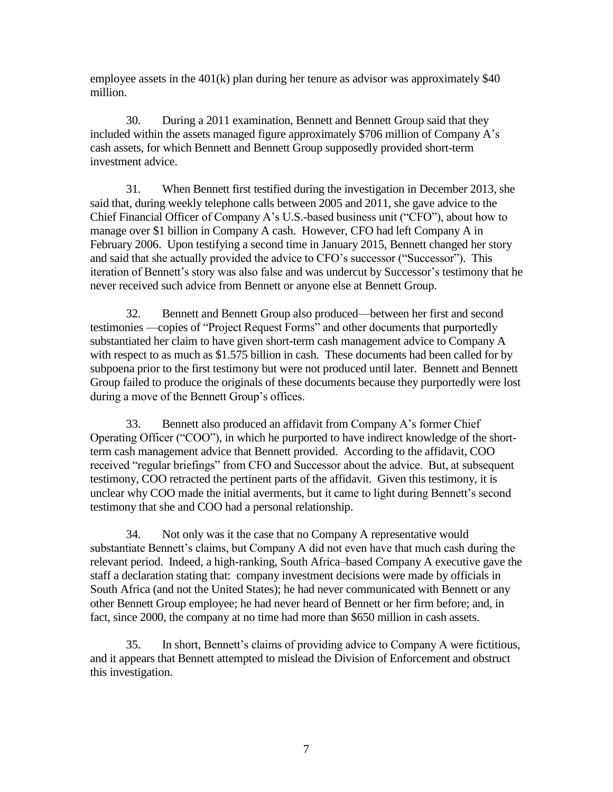employee assets in the  $401(k)$  plan during her tenure as advisor was approximately \$40 million.

30. During a 2011 examination, Bennett and Bennett Group said that they included within the assets managed figure approximately \$706 million of Company A's cash assets, for which Bennett and Bennett Group supposedly provided short-term investment advice.

31. When Bennett first testified during the investigation in December 2013, she said that, during weekly telephone calls between 2005 and 2011, she gave advice to the Chief Financial Officer of Company A's U.S.-based business unit ("CFO"), about how to manage over \$1 billion in Company A cash. However, CFO had left Company A in February 2006. Upon testifying a second time in January 2015, Bennett changed her story and said that she actually provided the advice to CFO's successor ("Successor"). This iteration of Bennett's story was also false and was undercut by Successor's testimony that he never received such advice from Bennett or anyone else at Bennett Group.

32. Bennett and Bennett Group also produced—between her first and second testimonies —copies of "Project Request Forms" and other documents that purportedly substantiated her claim to have given short-term cash management advice to Company A with respect to as much as \$1.575 billion in cash. These documents had been called for by subpoena prior to the first testimony but were not produced until later. Bennett and Bennett Group failed to produce the originals of these documents because they purportedly were lost during a move of the Bennett Group's offices.

33. Bennett also produced an affidavit from Company A's former Chief Operating Officer ("COO"), in which he purported to have indirect knowledge of the shortterm cash management advice that Bennett provided. According to the affidavit, COO received "regular briefings" from CFO and Successor about the advice. But, at subsequent testimony, COO retracted the pertinent parts of the affidavit. Given this testimony, it is unclear why COO made the initial averments, but it came to light during Bennett's second testimony that she and COO had a personal relationship.

34. Not only was it the case that no Company A representative would substantiate Bennett's claims, but Company A did not even have that much cash during the relevant period. Indeed, a high-ranking, South Africa–based Company A executive gave the staff a declaration stating that: company investment decisions were made by officials in South Africa (and not the United States); he had never communicated with Bennett or any other Bennett Group employee; he had never heard of Bennett or her firm before; and, in fact, since 2000, the company at no time had more than \$650 million in cash assets.

35. In short, Bennett's claims of providing advice to Company A were fictitious, and it appears that Bennett attempted to mislead the Division of Enforcement and obstruct this investigation.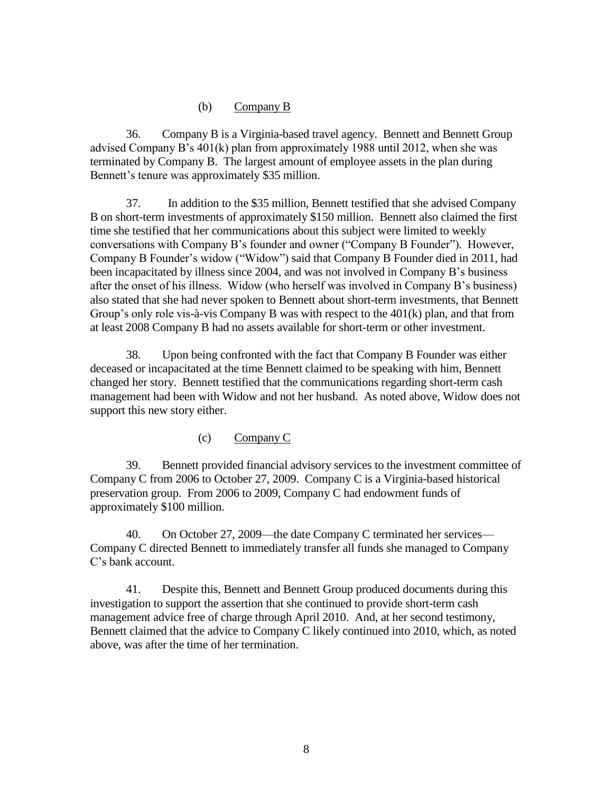#### (b) Company B

36. Company B is a Virginia-based travel agency. Bennett and Bennett Group advised Company B's 401(k) plan from approximately 1988 until 2012, when she was terminated by Company B. The largest amount of employee assets in the plan during Bennett's tenure was approximately \$35 million.

37. In addition to the \$35 million, Bennett testified that she advised Company B on short-term investments of approximately \$150 million. Bennett also claimed the first time she testified that her communications about this subject were limited to weekly conversations with Company B's founder and owner ("Company B Founder"). However, Company B Founder's widow ("Widow") said that Company B Founder died in 2011, had been incapacitated by illness since 2004, and was not involved in Company B's business after the onset of his illness. Widow (who herself was involved in Company B's business) also stated that she had never spoken to Bennett about short-term investments, that Bennett Group's only role vis-à-vis Company B was with respect to the 401(k) plan, and that from at least 2008 Company B had no assets available for short-term or other investment.

38. Upon being confronted with the fact that Company B Founder was either deceased or incapacitated at the time Bennett claimed to be speaking with him, Bennett changed her story. Bennett testified that the communications regarding short-term cash management had been with Widow and not her husband. As noted above, Widow does not support this new story either.

(c) Company C

39. Bennett provided financial advisory services to the investment committee of Company C from 2006 to October 27, 2009. Company C is a Virginia-based historical preservation group. From 2006 to 2009, Company C had endowment funds of approximately \$100 million.

40. On October 27, 2009—the date Company C terminated her services— Company C directed Bennett to immediately transfer all funds she managed to Company C's bank account.

41. Despite this, Bennett and Bennett Group produced documents during this investigation to support the assertion that she continued to provide short-term cash management advice free of charge through April 2010. And, at her second testimony, Bennett claimed that the advice to Company C likely continued into 2010, which, as noted above, was after the time of her termination.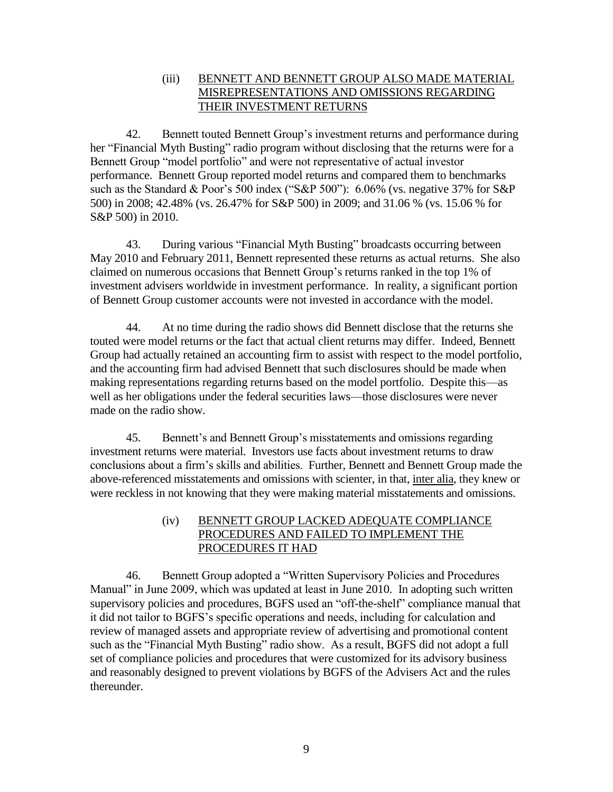### (iii) BENNETT AND BENNETT GROUP ALSO MADE MATERIAL MISREPRESENTATIONS AND OMISSIONS REGARDING THEIR INVESTMENT RETURNS

42. Bennett touted Bennett Group's investment returns and performance during her "Financial Myth Busting" radio program without disclosing that the returns were for a Bennett Group "model portfolio" and were not representative of actual investor performance. Bennett Group reported model returns and compared them to benchmarks such as the Standard & Poor's 500 index ("S&P 500"): 6.06% (vs. negative 37% for S&P 500) in 2008; 42.48% (vs. 26.47% for S&P 500) in 2009; and 31.06 % (vs. 15.06 % for S&P 500) in 2010.

43. During various "Financial Myth Busting" broadcasts occurring between May 2010 and February 2011, Bennett represented these returns as actual returns. She also claimed on numerous occasions that Bennett Group's returns ranked in the top 1% of investment advisers worldwide in investment performance. In reality, a significant portion of Bennett Group customer accounts were not invested in accordance with the model.

44. At no time during the radio shows did Bennett disclose that the returns she touted were model returns or the fact that actual client returns may differ. Indeed, Bennett Group had actually retained an accounting firm to assist with respect to the model portfolio, and the accounting firm had advised Bennett that such disclosures should be made when making representations regarding returns based on the model portfolio. Despite this—as well as her obligations under the federal securities laws—those disclosures were never made on the radio show.

45. Bennett's and Bennett Group's misstatements and omissions regarding investment returns were material. Investors use facts about investment returns to draw conclusions about a firm's skills and abilities. Further, Bennett and Bennett Group made the above-referenced misstatements and omissions with scienter, in that, inter alia, they knew or were reckless in not knowing that they were making material misstatements and omissions.

### (iv) BENNETT GROUP LACKED ADEQUATE COMPLIANCE PROCEDURES AND FAILED TO IMPLEMENT THE PROCEDURES IT HAD

46. Bennett Group adopted a "Written Supervisory Policies and Procedures Manual" in June 2009, which was updated at least in June 2010. In adopting such written supervisory policies and procedures, BGFS used an "off-the-shelf" compliance manual that it did not tailor to BGFS's specific operations and needs, including for calculation and review of managed assets and appropriate review of advertising and promotional content such as the "Financial Myth Busting" radio show. As a result, BGFS did not adopt a full set of compliance policies and procedures that were customized for its advisory business and reasonably designed to prevent violations by BGFS of the Advisers Act and the rules thereunder.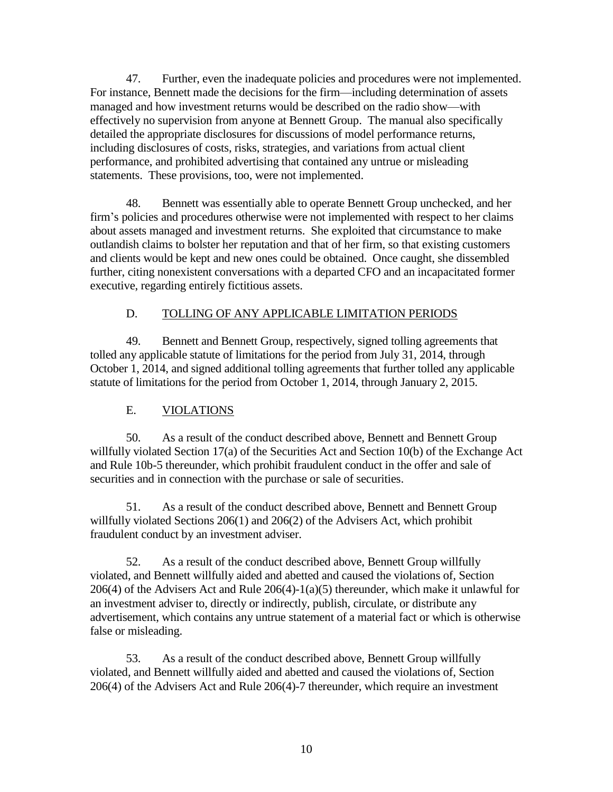47. Further, even the inadequate policies and procedures were not implemented. For instance, Bennett made the decisions for the firm—including determination of assets managed and how investment returns would be described on the radio show—with effectively no supervision from anyone at Bennett Group. The manual also specifically detailed the appropriate disclosures for discussions of model performance returns, including disclosures of costs, risks, strategies, and variations from actual client performance, and prohibited advertising that contained any untrue or misleading statements. These provisions, too, were not implemented.

48. Bennett was essentially able to operate Bennett Group unchecked, and her firm's policies and procedures otherwise were not implemented with respect to her claims about assets managed and investment returns. She exploited that circumstance to make outlandish claims to bolster her reputation and that of her firm, so that existing customers and clients would be kept and new ones could be obtained. Once caught, she dissembled further, citing nonexistent conversations with a departed CFO and an incapacitated former executive, regarding entirely fictitious assets.

## D. TOLLING OF ANY APPLICABLE LIMITATION PERIODS

49. Bennett and Bennett Group, respectively, signed tolling agreements that tolled any applicable statute of limitations for the period from July 31, 2014, through October 1, 2014, and signed additional tolling agreements that further tolled any applicable statute of limitations for the period from October 1, 2014, through January 2, 2015.

# E. VIOLATIONS

50. As a result of the conduct described above, Bennett and Bennett Group willfully violated Section 17(a) of the Securities Act and Section 10(b) of the Exchange Act and Rule 10b-5 thereunder, which prohibit fraudulent conduct in the offer and sale of securities and in connection with the purchase or sale of securities.

51. As a result of the conduct described above, Bennett and Bennett Group willfully violated Sections 206(1) and 206(2) of the Advisers Act, which prohibit fraudulent conduct by an investment adviser.

52. As a result of the conduct described above, Bennett Group willfully violated, and Bennett willfully aided and abetted and caused the violations of, Section 206(4) of the Advisers Act and Rule 206(4)-1(a)(5) thereunder, which make it unlawful for an investment adviser to, directly or indirectly, publish, circulate, or distribute any advertisement, which contains any untrue statement of a material fact or which is otherwise false or misleading.

53. As a result of the conduct described above, Bennett Group willfully violated, and Bennett willfully aided and abetted and caused the violations of, Section 206(4) of the Advisers Act and Rule 206(4)-7 thereunder, which require an investment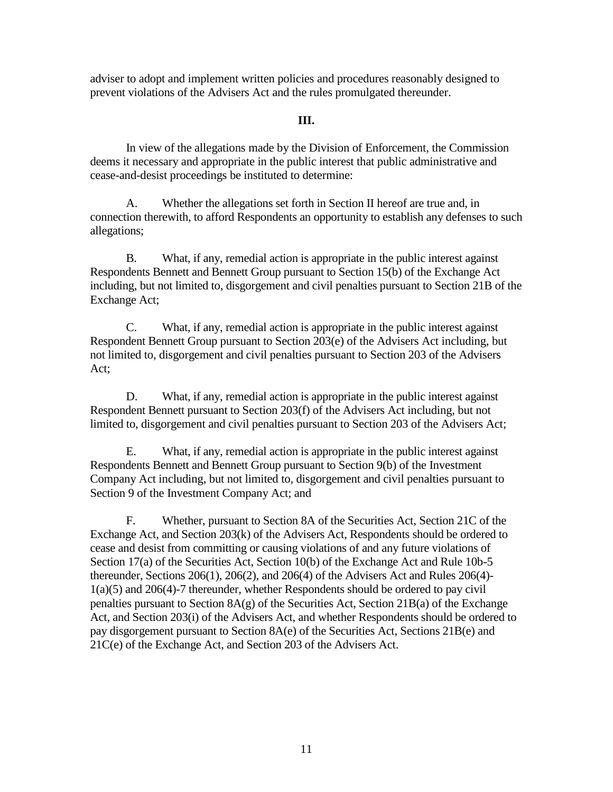adviser to adopt and implement written policies and procedures reasonably designed to prevent violations of the Advisers Act and the rules promulgated thereunder.

#### **III.**

In view of the allegations made by the Division of Enforcement, the Commission deems it necessary and appropriate in the public interest that public administrative and cease-and-desist proceedings be instituted to determine:

A. Whether the allegations set forth in Section II hereof are true and, in connection therewith, to afford Respondents an opportunity to establish any defenses to such allegations;

B. What, if any, remedial action is appropriate in the public interest against Respondents Bennett and Bennett Group pursuant to Section 15(b) of the Exchange Act including, but not limited to, disgorgement and civil penalties pursuant to Section 21B of the Exchange Act;

C. What, if any, remedial action is appropriate in the public interest against Respondent Bennett Group pursuant to Section 203(e) of the Advisers Act including, but not limited to, disgorgement and civil penalties pursuant to Section 203 of the Advisers Act;

D. What, if any, remedial action is appropriate in the public interest against Respondent Bennett pursuant to Section 203(f) of the Advisers Act including, but not limited to, disgorgement and civil penalties pursuant to Section 203 of the Advisers Act;

E. What, if any, remedial action is appropriate in the public interest against Respondents Bennett and Bennett Group pursuant to Section 9(b) of the Investment Company Act including, but not limited to, disgorgement and civil penalties pursuant to Section 9 of the Investment Company Act; and

F. Whether, pursuant to Section 8A of the Securities Act, Section 21C of the Exchange Act, and Section 203(k) of the Advisers Act, Respondents should be ordered to cease and desist from committing or causing violations of and any future violations of Section 17(a) of the Securities Act, Section 10(b) of the Exchange Act and Rule 10b-5 thereunder, Sections 206(1), 206(2), and 206(4) of the Advisers Act and Rules 206(4)- 1(a)(5) and 206(4)-7 thereunder, whether Respondents should be ordered to pay civil penalties pursuant to Section  $8A(g)$  of the Securities Act, Section 21B(a) of the Exchange Act, and Section 203(i) of the Advisers Act, and whether Respondents should be ordered to pay disgorgement pursuant to Section 8A(e) of the Securities Act, Sections 21B(e) and 21C(e) of the Exchange Act, and Section 203 of the Advisers Act.